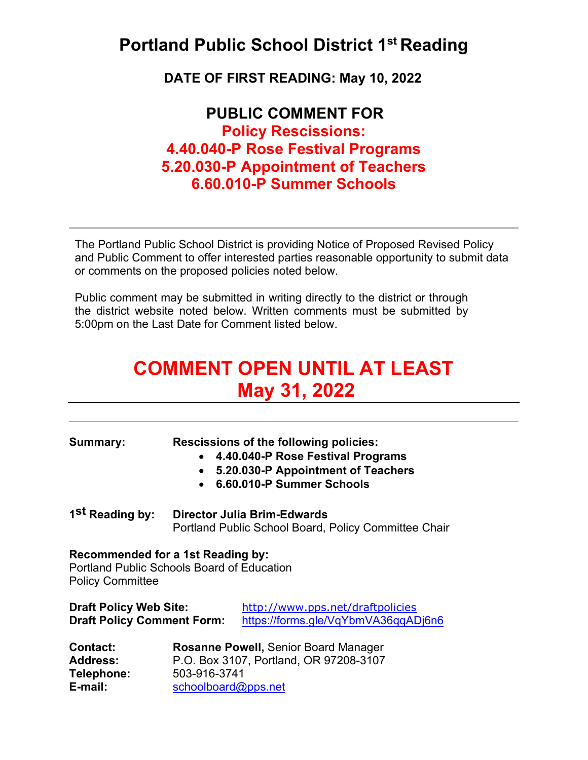## **Portland Public School District 1st Reading**

**DATE OF FIRST READING: May 10, 2022**

**PUBLIC COMMENT FOR Policy Rescissions: 4.40.040-P Rose Festival Programs 5.20.030-P Appointment of Teachers 6.60.010-P Summer Schools**

The Portland Public School District is providing Notice of Proposed Revised Policy and Public Comment to offer interested parties reasonable opportunity to submit data or comments on the proposed policies noted below.

Public comment may be submitted in writing directly to the district or through the district website noted below. Written comments must be submitted by 5:00pm on the Last Date for Comment listed below.

# **COMMENT OPEN UNTIL AT LEAST May 31, 2022**

| <b>Summary:</b>                                                                                                   | $\bullet$                                                                                                                    | <b>Rescissions of the following policies:</b><br>4.40.040-P Rose Festival Programs<br>5.20.030-P Appointment of Teachers<br>6.60.010-P Summer Schools |
|-------------------------------------------------------------------------------------------------------------------|------------------------------------------------------------------------------------------------------------------------------|-------------------------------------------------------------------------------------------------------------------------------------------------------|
| 1 <sup>St</sup> Reading by:                                                                                       | <b>Director Julia Brim-Edwards</b><br>Portland Public School Board, Policy Committee Chair                                   |                                                                                                                                                       |
| Recommended for a 1st Reading by:<br><b>Portland Public Schools Board of Education</b><br><b>Policy Committee</b> |                                                                                                                              |                                                                                                                                                       |
| <b>Draft Policy Web Site:</b><br><b>Draft Policy Comment Form:</b>                                                |                                                                                                                              | http://www.pps.net/draftpolicies<br>https://forms.gle/VqYbmVA36qqADj6n6                                                                               |
| <b>Contact:</b><br><b>Address:</b><br>Telephone:<br>E-mail:                                                       | <b>Rosanne Powell, Senior Board Manager</b><br>P.O. Box 3107, Portland, OR 97208-3107<br>503-916-3741<br>schoolboard@pps.net |                                                                                                                                                       |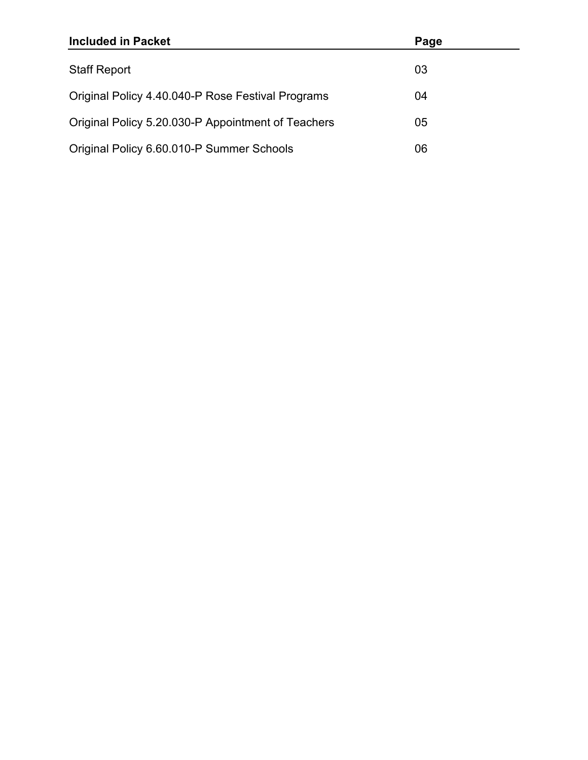| <b>Included in Packet</b>                          | Page |
|----------------------------------------------------|------|
| <b>Staff Report</b>                                | 03   |
| Original Policy 4.40.040-P Rose Festival Programs  | 04   |
| Original Policy 5.20.030-P Appointment of Teachers | 05   |
| Original Policy 6.60.010-P Summer Schools          | 06   |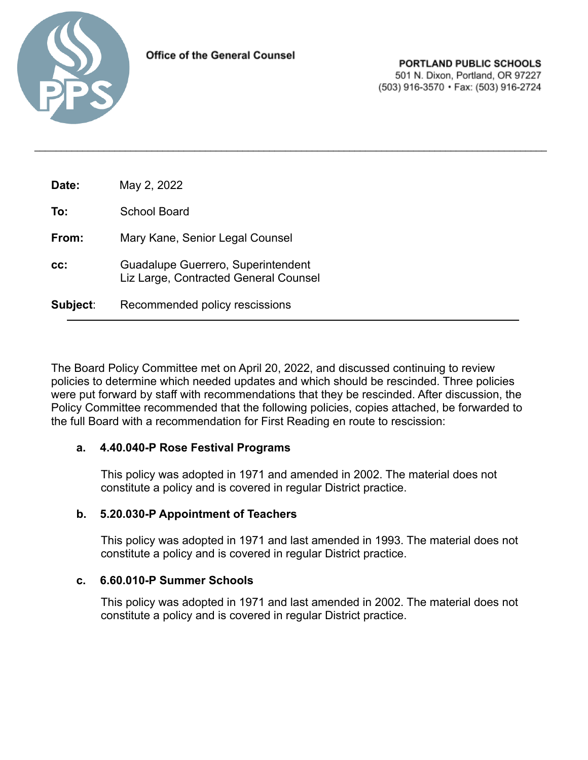

| Date:    | May 2, 2022                                                                 |
|----------|-----------------------------------------------------------------------------|
| To:      | <b>School Board</b>                                                         |
| From:    | Mary Kane, Senior Legal Counsel                                             |
| CC:      | Guadalupe Guerrero, Superintendent<br>Liz Large, Contracted General Counsel |
| Subject: | Recommended policy rescissions                                              |

The Board Policy Committee met on April 20, 2022, and discussed continuing to review policies to determine which needed updates and which should be rescinded. Three policies were put forward by staff with recommendations that they be rescinded. After discussion, the Policy Committee recommended that the following policies, copies attached, be forwarded to the full Board with a recommendation for First Reading en route to rescission:

 $\_$  ,  $\_$  ,  $\_$  ,  $\_$  ,  $\_$  ,  $\_$  ,  $\_$  ,  $\_$  ,  $\_$  ,  $\_$  ,  $\_$  ,  $\_$  ,  $\_$  ,  $\_$  ,  $\_$  ,  $\_$  ,  $\_$  ,  $\_$  ,  $\_$  ,  $\_$  ,  $\_$  ,  $\_$  ,  $\_$  ,  $\_$  ,  $\_$  ,  $\_$  ,  $\_$  ,  $\_$  ,  $\_$  ,  $\_$  ,  $\_$  ,  $\_$  ,  $\_$  ,  $\_$  ,  $\_$  ,  $\_$  ,  $\_$  ,

#### **a. 4.40.040-P Rose Festival Programs**

This policy was adopted in 1971 and amended in 2002. The material does not constitute a policy and is covered in regular District practice.

#### **b. 5.20.030-P Appointment of Teachers**

This policy was adopted in 1971 and last amended in 1993. The material does not constitute a policy and is covered in regular District practice.

#### **c. 6.60.010-P Summer Schools**

This policy was adopted in 1971 and last amended in 2002. The material does not constitute a policy and is covered in regular District practice.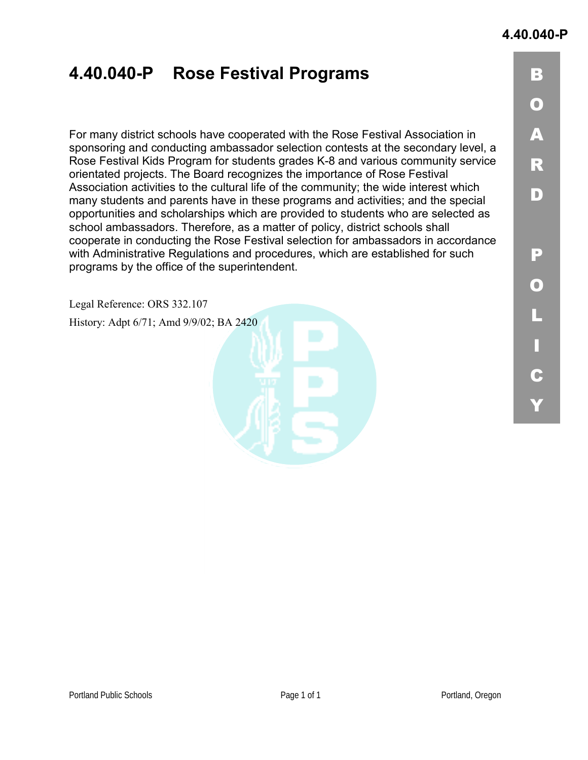## **4.40.040-P Rose Festival Programs**

For many district schools have cooperated with the Rose Festival Association in sponsoring and conducting ambassador selection contests at the secondary level, a Rose Festival Kids Program for students grades K-8 and various community service orientated projects. The Board recognizes the importance of Rose Festival Association activities to the cultural life of the community; the wide interest which many students and parents have in these programs and activities; and the special opportunities and scholarships which are provided to students who are selected as school ambassadors. Therefore, as a matter of policy, district schools shall cooperate in conducting the Rose Festival selection for ambassadors in accordance with Administrative Regulations and procedures, which are established for such programs by the office of the superintendent.

Legal Reference: ORS 332.107

History: Adpt 6/71; Amd 9/9/02; BA 2420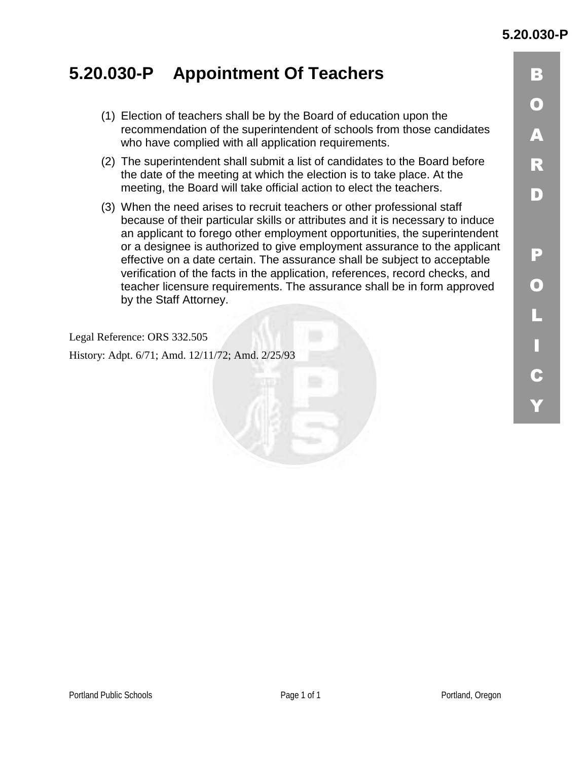## **5.20.030-P Appointment Of Teachers**

- (1) Election of teachers shall be by the Board of education upon the recommendation of the superintendent of schools from those candidates who have complied with all application requirements.
- (2) The superintendent shall submit a list of candidates to the Board before the date of the meeting at which the election is to take place. At the meeting, the Board will take official action to elect the teachers.
- (3) When the need arises to recruit teachers or other professional staff because of their particular skills or attributes and it is necessary to induce an applicant to forego other employment opportunities, the superintendent or a designee is authorized to give employment assurance to the applicant effective on a date certain. The assurance shall be subject to acceptable verification of the facts in the application, references, record checks, and teacher licensure requirements. The assurance shall be in form approved by the Staff Attorney.

Legal Reference: ORS 332.505

History: Adpt. 6/71; Amd. 12/11/72; Amd. 2/25/93